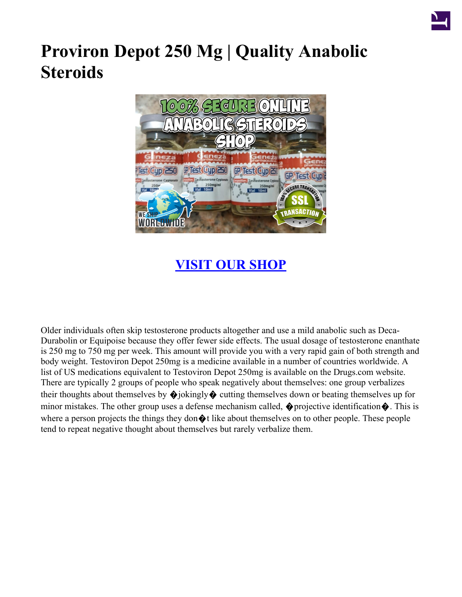

## **Proviron Depot 250 Mg | Quality Anabolic Steroids**



## **[VISIT OUR SHOP](https://t.co/VBWHH4dD05)**

Older individuals often skip testosterone products altogether and use a mild anabolic such as Deca-Durabolin or Equipoise because they offer fewer side effects. The usual dosage of testosterone enanthate is 250 mg to 750 mg per week. This amount will provide you with a very rapid gain of both strength and body weight. Testoviron Depot 250mg is a medicine available in a number of countries worldwide. A list of US medications equivalent to Testoviron Depot 250mg is available on the Drugs.com website. There are typically 2 groups of people who speak negatively about themselves: one group verbalizes their thoughts about themselves by  $\bigcirc$  jokingly  $\bigcirc$  cutting themselves down or beating themselves up for minor mistakes. The other group uses a defense mechanism called,  $\bullet$  projective identification  $\bullet$ . This is where a person projects the things they don  $\bigcirc$  like about themselves on to other people. These people tend to repeat negative thought about themselves but rarely verbalize them.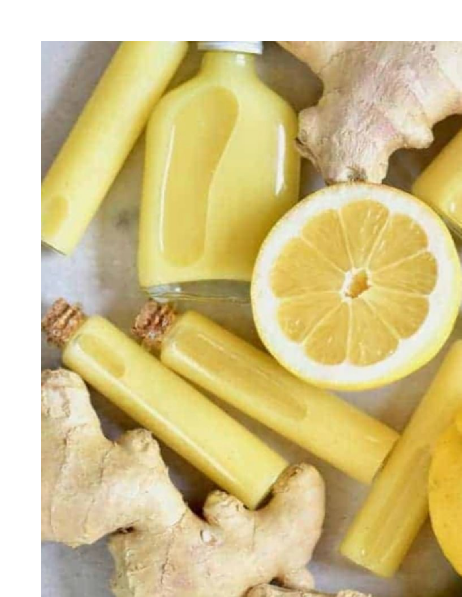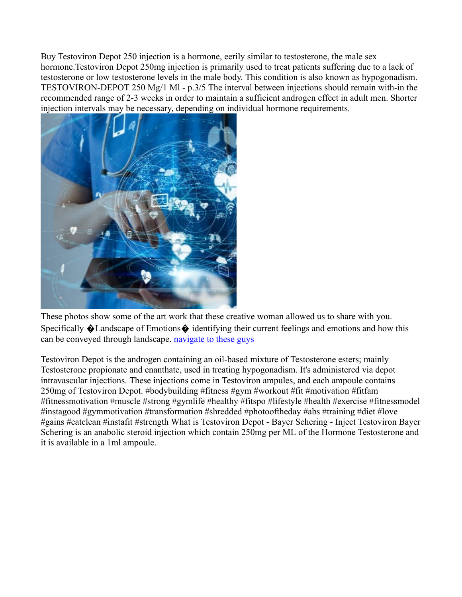Buy Testoviron Depot 250 injection is a hormone, eerily similar to testosterone, the male sex hormone.Testoviron Depot 250mg injection is primarily used to treat patients suffering due to a lack of testosterone or low testosterone levels in the male body. This condition is also known as hypogonadism. TESTOVIRON-DEPOT 250 Mg/1 Ml - p.3/5 The interval between injections should remain with-in the recommended range of 2-3 weeks in order to maintain a sufficient androgen effect in adult men. Shorter injection intervals may be necessary, depending on individual hormone requirements.



These photos show some of the art work that these creative woman allowed us to share with you. Specifically  $\triangle$  Landscape of Emotions  $\triangle$  identifying their current feelings and emotions and how this can be conveyed through landscape. [navigate to these guys](https://wikifactory.com/@fossamacrbaf/testo-cypmax-250)

Testoviron Depot is the androgen containing an oil-based mixture of Testosterone esters; mainly Testosterone propionate and enanthate, used in treating hypogonadism. It's administered via depot intravascular injections. These injections come in Testoviron ampules, and each ampoule contains 250mg of Testoviron Depot. #bodybuilding #fitness #gym #workout #fit #motivation #fitfam #fitnessmotivation #muscle #strong #gymlife #healthy #fitspo #lifestyle #health #exercise #fitnessmodel #instagood #gymmotivation #transformation #shredded #photooftheday #abs #training #diet #love #gains #eatclean #instafit #strength What is Testoviron Depot - Bayer Schering - Inject Testoviron Bayer Schering is an anabolic steroid injection which contain 250mg per ML of the Hormone Testosterone and it is available in a 1ml ampoule.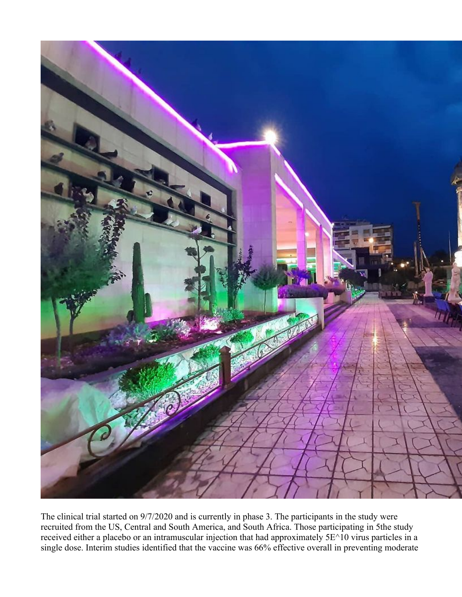

The clinical trial started on 9/7/2020 and is currently in phase 3. The participants in the study were recruited from the US, Central and South America, and South Africa. Those participating in 5the study received either a placebo or an intramuscular injection that had approximately 5E^10 virus particles in a single dose. Interim studies identified that the vaccine was 66% effective overall in preventing moderate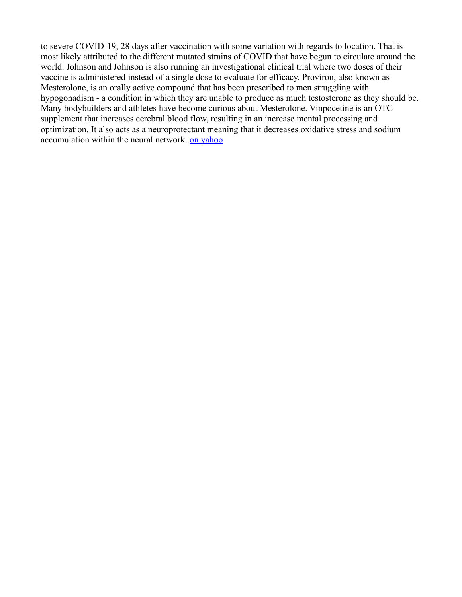to severe COVID-19, 28 days after vaccination with some variation with regards to location. That is most likely attributed to the different mutated strains of COVID that have begun to circulate around the world. Johnson and Johnson is also running an investigational clinical trial where two doses of their vaccine is administered instead of a single dose to evaluate for efficacy. Proviron, also known as Mesterolone, is an orally active compound that has been prescribed to men struggling with hypogonadism - a condition in which they are unable to produce as much testosterone as they should be. Many bodybuilders and athletes have become curious about Mesterolone. Vinpocetine is an OTC supplement that increases cerebral blood flow, resulting in an increase mental processing and optimization. It also acts as a neuroprotectant meaning that it decreases oxidative stress and sodium accumulation within the neural network. [on yahoo](https://facinghistory.instructure.com/eportfolios/7027/_/Testoviron_Depot_Bayer_Testosterone_Enanthate_250mg__Anabolic_Steroids_For_Sale)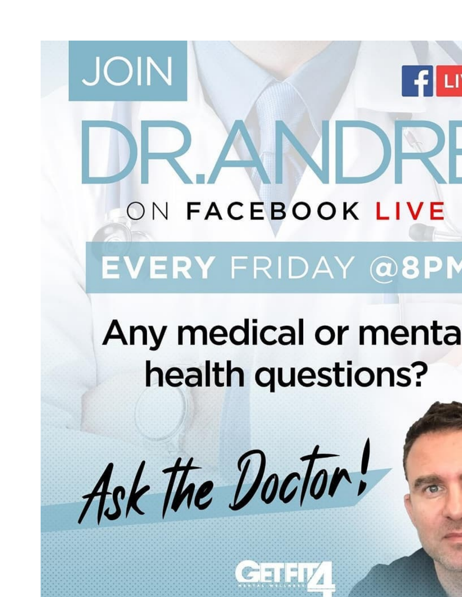## **JOIN** ON FACEBOOK LIVE EVERY FRIDAY @8PM

## Any medical or menta health questions?